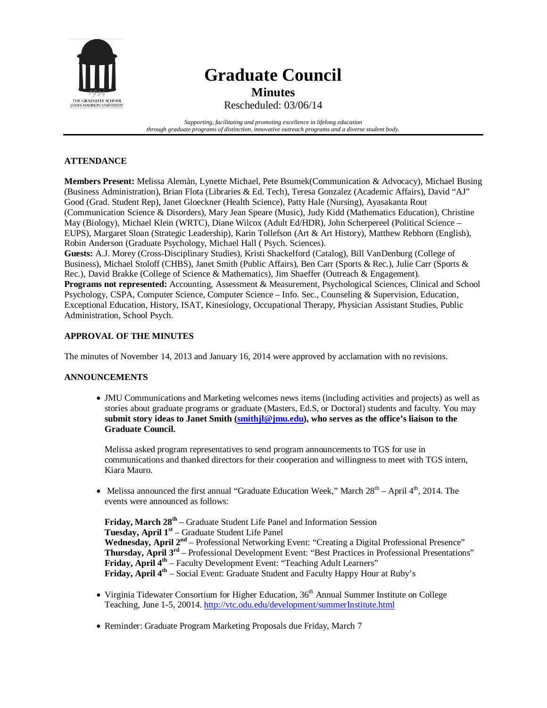

# **Graduate Council Minutes**

Rescheduled: 03/06/14

*Supporting, facilitating and promoting excellence in lifelong education through graduate programs of distinction, innovative outreach programs and a diverse student body.*

## **ATTENDANCE**

**Members Present:** Melissa Alemàn, Lynette Michael, Pete Bsumek(Communication & Advocacy), Michael Busing (Business Administration), Brian Flota (Libraries & Ed. Tech), Teresa Gonzalez (Academic Affairs), David "AJ" Good (Grad. Student Rep), Janet Gloeckner (Health Science), Patty Hale (Nursing), Ayasakanta Rout (Communication Science & Disorders), Mary Jean Speare (Music), Judy Kidd (Mathematics Education), Christine May (Biology), Michael Klein (WRTC), Diane Wilcox (Adult Ed/HDR), John Scherpereel (Political Science – EUPS), Margaret Sloan (Strategic Leadership), Karin Tollefson (Art & Art History), Matthew Rebhorn (English), Robin Anderson (Graduate Psychology, Michael Hall ( Psych. Sciences).

**Guests:** A.J. Morey (Cross-Disciplinary Studies), Kristi Shackelford (Catalog), Bill VanDenburg (College of Business), Michael Stoloff (CHBS), Janet Smith (Public Affairs), Ben Carr (Sports & Rec.), Julie Carr (Sports & Rec.), David Brakke (College of Science & Mathematics), Jim Shaeffer (Outreach & Engagement). **Programs not represented:** Accounting, Assessment & Measurement, Psychological Sciences, Clinical and School Psychology, CSPA, Computer Science, Computer Science – Info. Sec., Counseling & Supervision, Education, Exceptional Education, History, ISAT, Kinesiology, Occupational Therapy, Physician Assistant Studies, Public Administration, School Psych.

## **APPROVAL OF THE MINUTES**

The minutes of November 14, 2013 and January 16, 2014 were approved by acclamation with no revisions.

## **ANNOUNCEMENTS**

• JMU Communications and Marketing welcomes news items (including activities and projects) as well as stories about graduate programs or graduate (Masters, Ed.S, or Doctoral) students and faculty. You may **submit story ideas to Janet Smith (smithjl@jmu.edu), who serves as the office's liaison to the Graduate Council.**

Melissa asked program representatives to send program announcements to TGS for use in communications and thanked directors for their cooperation and willingness to meet with TGS intern, Kiara Mauro.

• Melissa announced the first annual "Graduate Education Week," March  $28<sup>th</sup> -$  April  $4<sup>th</sup>$ , 2014. The events were announced as follows:

**Friday, March 28th** – Graduate Student Life Panel and Information Session **Tuesday, April 1st** – Graduate Student Life Panel Wednesday, April 2<sup>nd</sup> – Professional Networking Event: "Creating a Digital Professional Presence" **Thursday, April 3rd** – Professional Development Event: "Best Practices in Professional Presentations" **Friday, April 4<sup>th</sup>** – Faculty Development Event: "Teaching Adult Learners" **Friday, April 4<sup>th</sup>** – Social Event: Graduate Student and Faculty Happy Hour at Ruby's

- Virginia Tidewater Consortium for Higher Education, 36<sup>th</sup> Annual Summer Institute on College Teaching, June 1-5, 20014[. http://vtc.odu.edu/development/summerInstitute.html](http://vtc.odu.edu/development/summerInstitute.html)
- Reminder: Graduate Program Marketing Proposals due Friday, March 7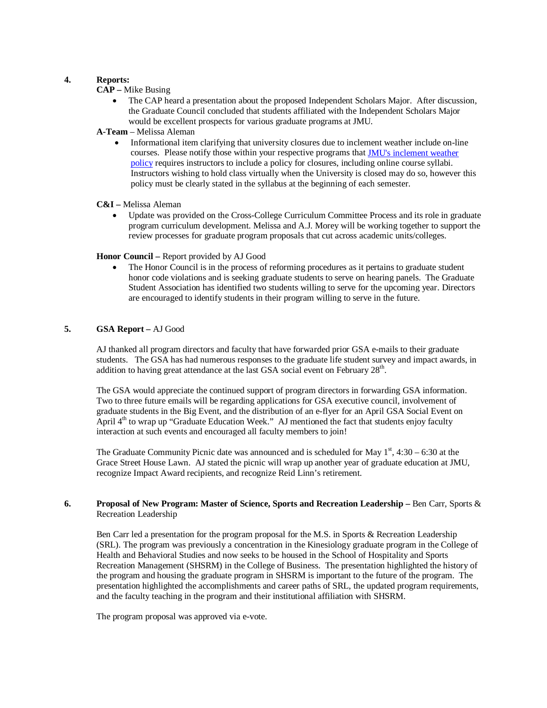### **4. Reports:**

## **CAP –** Mike Busing

• The CAP heard a presentation about the proposed Independent Scholars Major. After discussion, the Graduate Council concluded that students affiliated with the Independent Scholars Major would be excellent prospects for various graduate programs at JMU.

## **A-Team** – Melissa Aleman

• Informational item clarifying that university closures due to inclement weather include on-line courses. Please notify those within your respective programs tha[t JMU's inclement weather](http://www.jmu.edu/JMUpolicy/policies/1309.shtml)  [policy](http://www.jmu.edu/JMUpolicy/policies/1309.shtml) requires instructors to include a policy for closures, including online course syllabi. Instructors wishing to hold class virtually when the University is closed may do so, however this policy must be clearly stated in the syllabus at the beginning of each semester.

#### **C&I –** Melissa Aleman

• Update was provided on the Cross-College Curriculum Committee Process and its role in graduate program curriculum development. Melissa and A.J. Morey will be working together to support the review processes for graduate program proposals that cut across academic units/colleges.

#### **Honor Council –** Report provided by AJ Good

• The Honor Council is in the process of reforming procedures as it pertains to graduate student honor code violations and is seeking graduate students to serve on hearing panels. The Graduate Student Association has identified two students willing to serve for the upcoming year. Directors are encouraged to identify students in their program willing to serve in the future.

## **5. GSA Report –** AJ Good

AJ thanked all program directors and faculty that have forwarded prior GSA e-mails to their graduate students. The GSA has had numerous responses to the graduate life student survey and impact awards, in addition to having great attendance at the last GSA social event on February  $28<sup>th</sup>$ .

The GSA would appreciate the continued support of program directors in forwarding GSA information. Two to three future emails will be regarding applications for GSA executive council, involvement of graduate students in the Big Event, and the distribution of an e-flyer for an April GSA Social Event on April  $4<sup>th</sup>$  to wrap up "Graduate Education Week." AJ mentioned the fact that students enjoy faculty interaction at such events and encouraged all faculty members to join!

The Graduate Community Picnic date was announced and is scheduled for May  $1<sup>st</sup>$ , 4:30 – 6:30 at the Grace Street House Lawn. AJ stated the picnic will wrap up another year of graduate education at JMU, recognize Impact Award recipients, and recognize Reid Linn's retirement.

#### **6. Proposal of New Program: Master of Science, Sports and Recreation Leadership –** Ben Carr, Sports & Recreation Leadership

Ben Carr led a presentation for the program proposal for the M.S. in Sports & Recreation Leadership (SRL). The program was previously a concentration in the Kinesiology graduate program in the College of Health and Behavioral Studies and now seeks to be housed in the School of Hospitality and Sports Recreation Management (SHSRM) in the College of Business. The presentation highlighted the history of the program and housing the graduate program in SHSRM is important to the future of the program. The presentation highlighted the accomplishments and career paths of SRL, the updated program requirements, and the faculty teaching in the program and their institutional affiliation with SHSRM.

The program proposal was approved via e-vote.